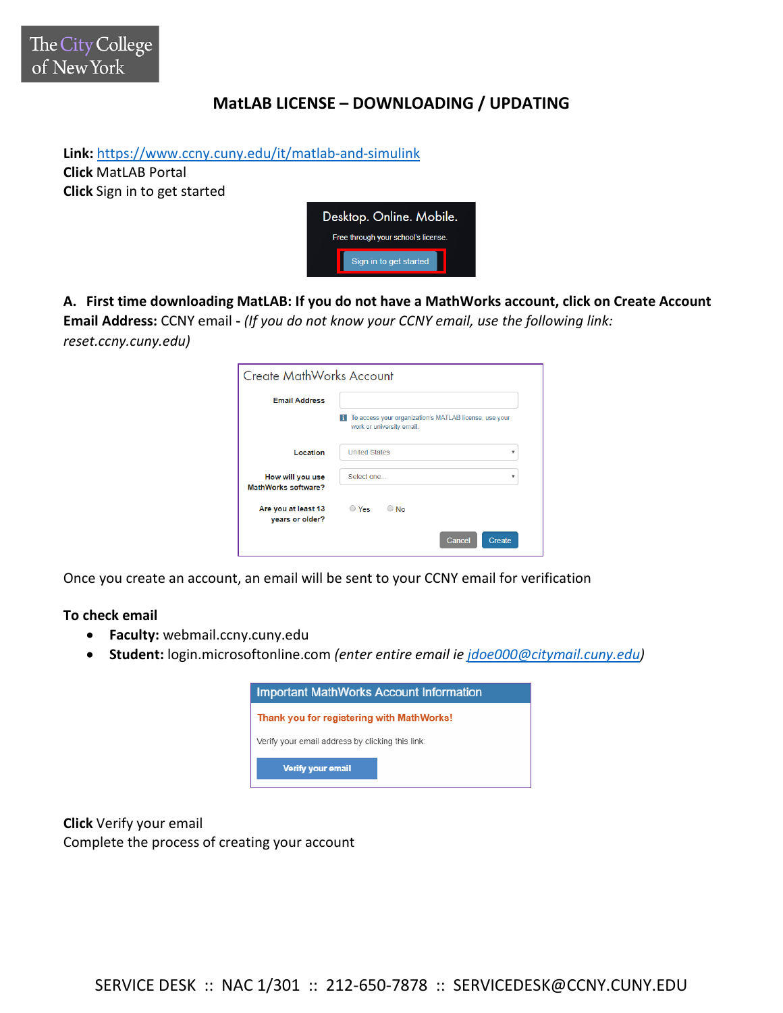## **MatLAB LICENSE – DOWNLOADING / UPDATING**

**Link:** <https://www.ccny.cuny.edu/it/matlab-and-simulink> **Click** MatLAB Portal **Click** Sign in to get started



**A. First time downloading MatLAB: If you do not have a MathWorks account, click on Create Account Email Address:** CCNY email **-** *(If you do not know your CCNY email, use the following link: reset.ccny.cuny.edu)*

| Create MathWorks Account                |                                                                                          |
|-----------------------------------------|------------------------------------------------------------------------------------------|
| <b>Email Address</b>                    |                                                                                          |
|                                         | To access your organization's MATLAB license, use your<br>н<br>work or university email. |
| Location                                | <b>United States</b><br>v                                                                |
| How will you use<br>MathWorks software? | Select one<br>v                                                                          |
| Are you at least 13<br>vears or older?  | $\bigcirc$ Yes<br>$\bigcirc$ No                                                          |
|                                         | Cancel<br>Create                                                                         |

Once you create an account, an email will be sent to your CCNY email for verification

**To check email**

- **Faculty:** webmail.ccny.cuny.edu
- **Student:** login.microsoftonline.com *(enter entire email ie [jdoe000@citymail.cuny.edu\)](mailto:jdoe000@citymail.cuny.edu)*



**Click** Verify your email Complete the process of creating your account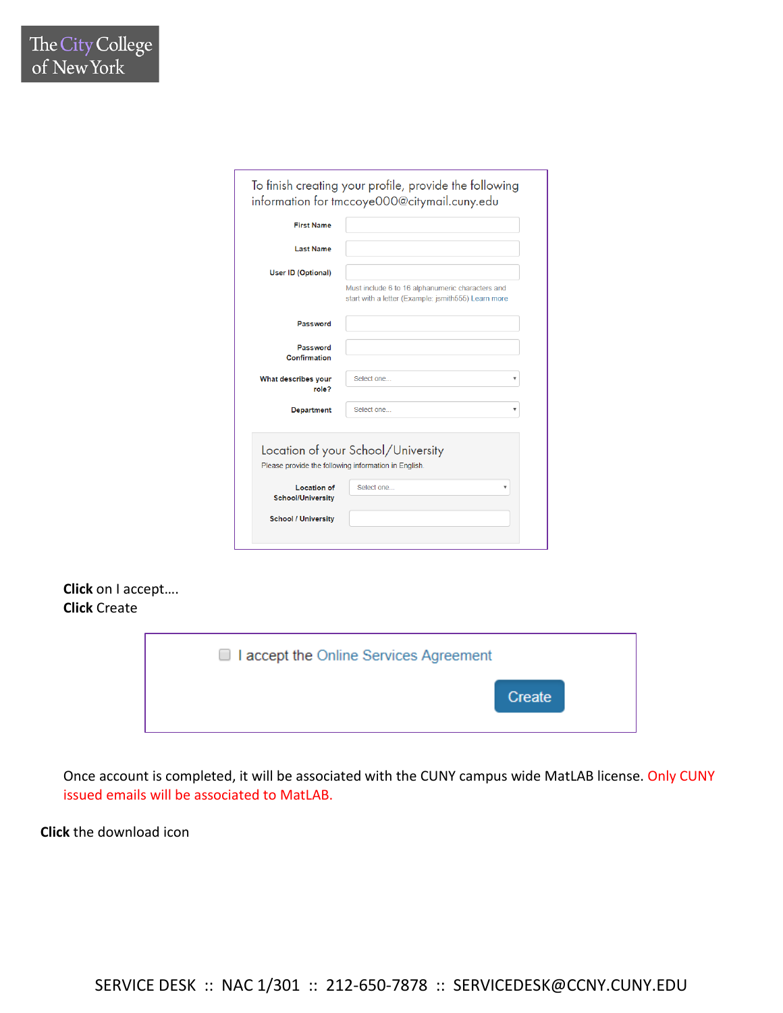## **Click** on I accept…. **Click** Create



Once account is completed, it will be associated with the CUNY campus wide MatLAB license. Only CUNY issued emails will be associated to MatLAB.

**Click** the download icon